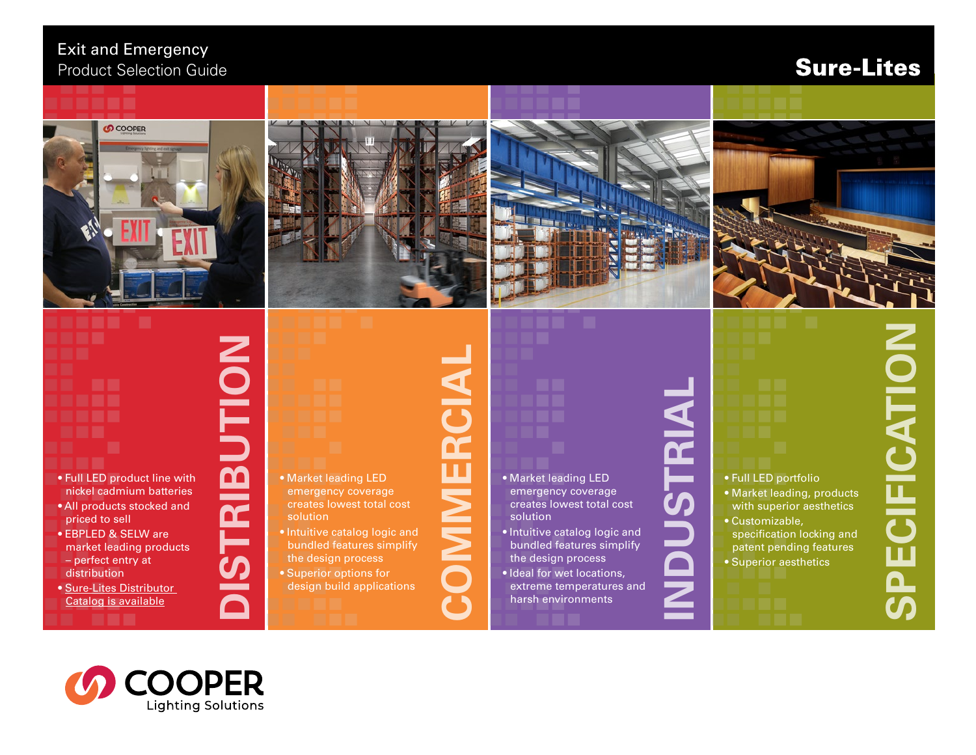#### Exit and Emergency Product Selection Guide

### **Sure-Lites**









# • Full LED product line with nickel cadmium batteries

• All products stocked and priced to sell

. .

- EBPLED & SELW are market leading products – perfect entry at distribution
- [Sure-Lites Distributor](https://www.cooperlighting.com/content/dam/cooper-lighting/brands/sure-lites/brochures/sl-dist-grade-product-guide-br505016en-bro.pdf)  [Catalog is available](https://www.cooperlighting.com/content/dam/cooper-lighting/brands/sure-lites/brochures/sl-dist-grade-product-guide-br505016en-bro.pdf)

# • Market leading LED solution

**DISTRIBUTION**

**ISTRIBUTI** 

 $\blacksquare$ 

**NO** 

- emergency coverage creates lowest total cost • Intuitive catalog logic and
- bundled features simplify the design process • Superior options for
- design build applications

#### • Market leading LED emergency coverage creates lowest total cost solution

**COMMERCIAL**

MMERCIAI

- Intuitive catalog logic and bundled features simplify the design process
- Ideal for wet locations, extreme temperatures and harsh environments
- **INDUSTRIAL** ISTRI

• Full LED portfolio

• Customizable,

• Market leading, products with superior aesthetics

specification locking and patent pending features • Superior aesthetics

**SPECIFICATION CATION** 

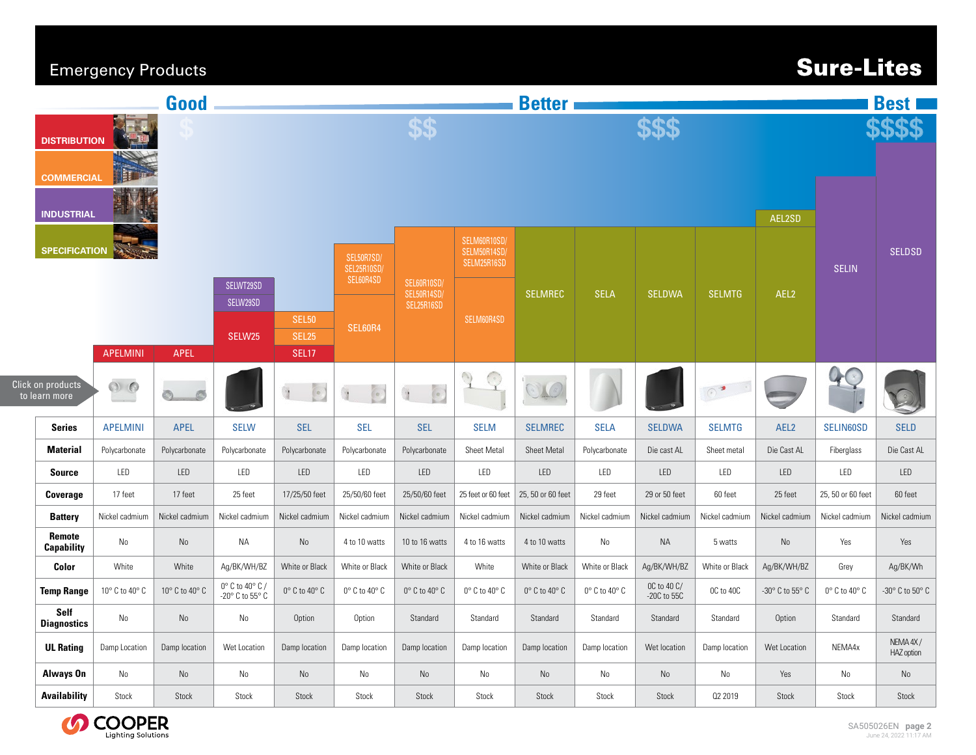#### Emergency Products

# **Sure-Lites**

| Good                                                   |                                  |                                    |                     |                                    | <b>Better</b>                |                              |                                                |                              | <b>Best I</b>                |                              |                            |                |                                     |                              |                        |
|--------------------------------------------------------|----------------------------------|------------------------------------|---------------------|------------------------------------|------------------------------|------------------------------|------------------------------------------------|------------------------------|------------------------------|------------------------------|----------------------------|----------------|-------------------------------------|------------------------------|------------------------|
| <b>DISTRIBUTION</b><br><b>THE</b><br><b>COMMERCIAL</b> |                                  |                                    |                     | \$\$                               |                              |                              |                                                |                              |                              |                              |                            |                |                                     |                              |                        |
| <b>INDUSTRIAL</b>                                      |                                  |                                    |                     |                                    | SELM60R10SD/                 |                              |                                                |                              |                              | AEL2SD                       |                            |                |                                     |                              |                        |
|                                                        | <b>SPECIFICATION</b>             |                                    |                     |                                    |                              | SEL50R7SD/<br>SEL25R10SD/    |                                                | SELM50R14SD/<br>SELM25R16SD  |                              |                              |                            |                |                                     | <b>SELIN</b>                 | <b>SELDSD</b>          |
|                                                        |                                  |                                    |                     | SELWT29SD<br>SELW29SD              |                              | SEL60R4SD                    | <b>SEL60R10SD</b><br>SEL50R14SD/<br>SEL25R16SD |                              | <b>SELMREC</b>               | <b>SELA</b>                  | <b>SELDWA</b>              | <b>SELMTG</b>  | AEL <sub>2</sub>                    |                              |                        |
|                                                        |                                  |                                    |                     | SELW25                             | <b>SEL50</b><br><b>SEL25</b> | SEL60R4                      |                                                | SELM60R4SD                   |                              |                              |                            |                |                                     |                              |                        |
|                                                        |                                  | <b>APELMINI</b>                    | <b>APEL</b>         |                                    | <b>SEL17</b>                 |                              |                                                |                              |                              |                              |                            |                |                                     |                              |                        |
|                                                        | ick on products<br>to learn more | $\circ$ $\circ$                    | $\mathcal{D}$<br>O. |                                    | $\epsilon$<br>Ù              | F.                           | $\overline{\mathcal{C}}$                       | $\cap$<br>$\odot$            | OLO                          |                              |                            | $\circ$        | <b>COLLEGE</b>                      |                              |                        |
|                                                        | <b>Series</b>                    | <b>APELMINI</b>                    | APEL                | <b>SELW</b>                        | <b>SEL</b>                   | <b>SEL</b>                   | <b>SEL</b>                                     | <b>SELM</b>                  | <b>SELMREC</b>               | <b>SELA</b>                  | <b>SELDWA</b>              | <b>SELMTG</b>  | AEL <sub>2</sub>                    | SELIN60SD                    | <b>SELD</b>            |
|                                                        | <b>Material</b>                  | Polycarbonate                      | Polycarbonate       | Polycarbonate                      | Polycarbonate                | Polycarbonate                | Polycarbonate                                  | Sheet Metal                  | <b>Sheet Metal</b>           | Polycarbonate                | Die cast AL                | Sheet metal    | Die Cast AL                         | Fiberglass                   | Die Cast AL            |
|                                                        | <b>Source</b>                    | LED                                | LED                 | LED                                | LED                          | LED                          | LED                                            | LED                          | LED                          | LED                          | LED                        | LED            | LED                                 | LED                          | LED                    |
|                                                        | Coverage                         | 17 feet                            | 17 feet             | 25 feet                            | 17/25/50 feet                | 25/50/60 feet                | 25/50/60 feet                                  | 25 feet or 60 feet           | 25, 50 or 60 feet            | 29 feet                      | 29 or 50 feet              | 60 feet        | 25 feet                             | 25, 50 or 60 feet            | 60 feet                |
|                                                        | <b>Battery</b>                   | Nickel cadmium                     | Nickel cadmium      | Nickel cadmium                     | Nickel cadmium               | Nickel cadmium               | Nickel cadmium                                 | Nickel cadmium               | Nickel cadmium               | Nickel cadmium               | Nickel cadmium             | Nickel cadmium | Nickel cadmium                      | Nickel cadmium               | Nickel cadmium         |
|                                                        | Remote<br><b>Capability</b>      | No                                 | No                  | NA                                 | No                           | 4 to 10 watts                | 10 to 16 watts                                 | 4 to 16 watts                | 4 to 10 watts                | No                           | <b>NA</b>                  | 5 watts        | No                                  | Yes                          | Yes                    |
|                                                        | Color                            | White                              | White               | Ag/BK/WH/BZ                        | White or Black               | White or Black               | White or Black                                 | White                        | White or Black               | White or Black               | Ag/BK/WH/BZ                | White or Black | Aq/BK/WH/BZ                         | Grey                         | Ag/BK/Wh               |
|                                                        | <b>Temp Range</b>                | 10 $^{\circ}$ C to 40 $^{\circ}$ C | 10° C to 40° C      | 0° C to 40° C /<br>-20° C to 55° C | $0^\circ$ C to $40^\circ$ C  | $0^\circ$ C to 40 $^\circ$ C | $0^\circ$ C to 40 $^\circ$ C                   | $0^\circ$ C to 40 $^\circ$ C | $0^\circ$ C to 40 $^\circ$ C | $0^\circ$ C to 40 $^\circ$ C | OC to 40 C/<br>-20C to 55C | OC to 40C      | -30 $^{\circ}$ C to 55 $^{\circ}$ C | $0^\circ$ C to 40 $^\circ$ C | -30° C to 50° C        |
|                                                        | Self<br><b>Diagnostics</b>       | No                                 | No                  | No                                 | Option                       | Option                       | Standard                                       | Standard                     | Standard                     | Standard                     | Standard                   | Standard       | Option                              | Standard                     | Standard               |
|                                                        | <b>UL Rating</b>                 | Damp Location                      | Damp location       | Wet Location                       | Damp location                | Damp location                | Damp location                                  | Damp location                | Damp location                | Damp location                | Wet location               | Damp location  | Wet Location                        | NEMA4x                       | NEMA 4X/<br>HAZ option |
|                                                        | <b>Always On</b>                 | No                                 | $\rm No$            | No                                 | No                           | No                           | No                                             | No                           | No                           | No                           | No                         | No             | Yes                                 | No                           | No                     |
|                                                        | <b>Availability</b>              | Stock                              | Stock               | Stock                              | Stock                        | Stock                        | Stock                                          | Stock                        | Stock                        | Stock                        | Stock                      | 02 2019        | Stock                               | Stock                        | Stock                  |



Click on products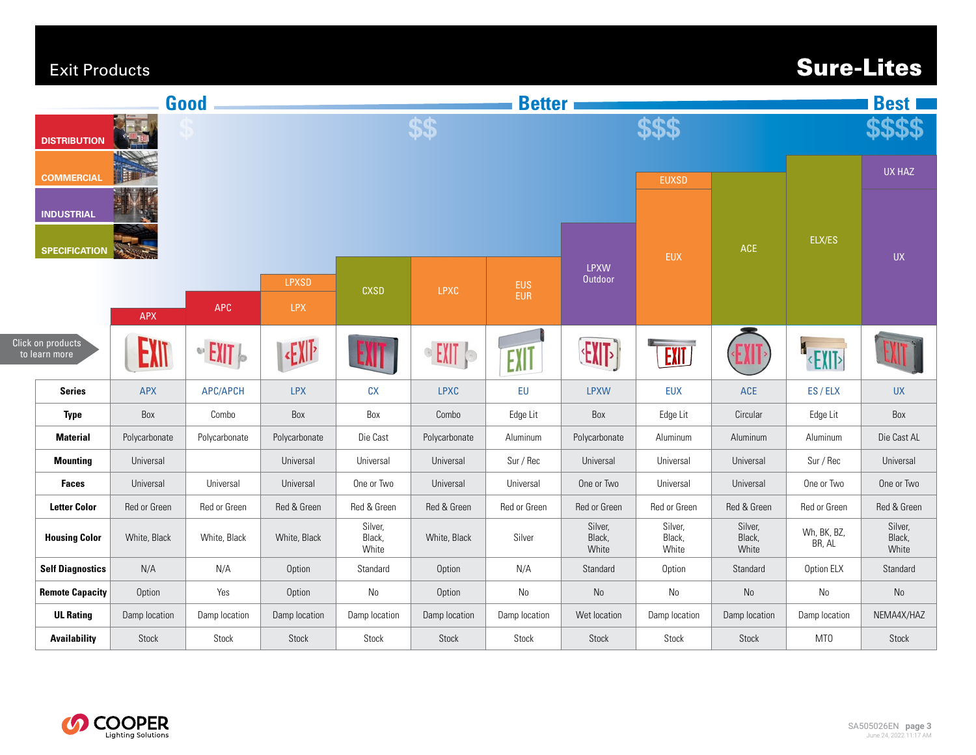#### Exit Products

Click on products

# **Sure-Lites**

| Good                                                                                  |               |                    |                     | <b>Better</b>              |               |                          |                            |                            |                            |                       | <b>Best</b>                |  |
|---------------------------------------------------------------------------------------|---------------|--------------------|---------------------|----------------------------|---------------|--------------------------|----------------------------|----------------------------|----------------------------|-----------------------|----------------------------|--|
| <b>DISTRIBUTION</b><br><b>COMMERCIAL</b><br><b>INDUSTRIAL</b><br><b>SPECIFICATION</b> |               |                    |                     | \$\$                       |               |                          |                            | \$\$\$                     |                            |                       |                            |  |
|                                                                                       |               |                    |                     |                            |               |                          | <b>EUXSD</b>               |                            |                            |                       | <b>UX HAZ</b>              |  |
|                                                                                       |               |                    |                     |                            |               |                          |                            | <b>EUX</b>                 | ACE                        | ELX/ES                | <b>UX</b>                  |  |
|                                                                                       | <b>APX</b>    | APC                | LPXSD<br><b>LPX</b> | <b>CXSD</b>                | <b>LPXC</b>   | <b>EUS</b><br><b>EUR</b> | LPXW<br>Outdoor            |                            |                            |                       |                            |  |
| ick on products<br>to learn more                                                      | EXIT          | $\sim$ EXIT $\sim$ | $E  \cdot$          | EXIT                       | <b>EXIT</b>   | EXIT                     | <b>EXIT&gt;</b>            | EXIT                       |                            | EXIT                  |                            |  |
| <b>Series</b>                                                                         | <b>APX</b>    | <b>APC/APCH</b>    | <b>LPX</b>          | cx                         | <b>LPXC</b>   | ${\sf EU}$               | <b>LPXW</b>                | <b>EUX</b>                 | $\mathsf{ACE}$             | ES / ELX              | <b>UX</b>                  |  |
| <b>Type</b>                                                                           | Box           | Combo              | Box                 | Box                        | Combo         | Edge Lit                 | Box                        | Edge Lit                   | Circular                   | Edge Lit              | Box                        |  |
| <b>Material</b>                                                                       | Polycarbonate | Polycarbonate      | Polycarbonate       | Die Cast                   | Polycarbonate | Aluminum                 | Polycarbonate              | Aluminum                   | Aluminum                   | Aluminum              | Die Cast AL                |  |
| <b>Mounting</b>                                                                       | Universal     |                    | Universal           | Universal                  | Universal     | Sur / Rec                | Universal                  | Universal                  | Universal                  | Sur / Rec             | Universal                  |  |
| <b>Faces</b>                                                                          | Universal     | Universal          | Universal           | One or Two                 | Universal     | Universal                | One or Two                 | Universal                  | Universal                  | One or Two            | One or Two                 |  |
| <b>Letter Color</b>                                                                   | Red or Green  | Red or Green       | Red & Green         | Red & Green                | Red & Green   | Red or Green             | Red or Green               | Red or Green               | Red & Green                | Red or Green          | Red & Green                |  |
| <b>Housing Color</b>                                                                  | White, Black  | White, Black       | White, Black        | Silver,<br>Black,<br>White | White, Black  | Silver                   | Silver,<br>Black,<br>White | Silver,<br>Black,<br>White | Silver,<br>Black,<br>White | Wh, BK, BZ,<br>BR, AL | Silver,<br>Black,<br>White |  |
| <b>Self Diagnostics</b>                                                               | N/A           | N/A                | Option              | Standard                   | Option        | N/A                      | Standard                   | Option                     | Standard                   | Option ELX            | Standard                   |  |
| <b>Remote Capacity</b>                                                                | Option        | Yes                | Option              | No                         | Option        | $\mathsf{No}$            | $\mathsf{No}$              | $\mathsf{N}\mathsf{o}$     | $\rm No$                   | No                    | No                         |  |
| <b>UL Rating</b>                                                                      | Damp location | Damp location      | Damp location       | Damp location              | Damp location | Damp location            | Wet location               | Damp location              | Damp location              | Damp location         | NEMA4X/HAZ                 |  |
| <b>Availability</b>                                                                   | Stock         | Stock              | Stock               | Stock                      | Stock         | Stock                    | Stock                      | Stock                      | Stock                      | MT0                   | Stock                      |  |

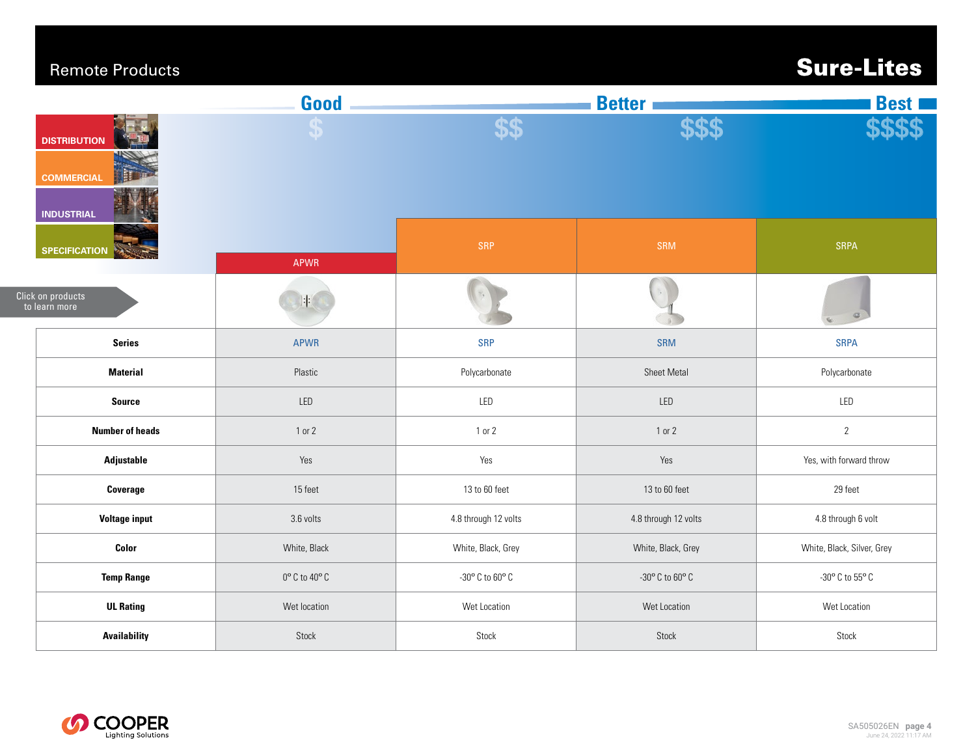#### Remote Products

# **Sure-Lites**

|                                        | Good                              |                      | <b>Best I</b>                       |                            |
|----------------------------------------|-----------------------------------|----------------------|-------------------------------------|----------------------------|
| <b>DISTRIBUTION</b>                    | $\boldsymbol{\Phi}$               | \$\$                 |                                     |                            |
| <b>COMMERCIAL</b><br><b>INDUSTRIAL</b> |                                   |                      |                                     |                            |
| <b>SPECIFICATION</b>                   | <b>APWR</b>                       | SRP                  | SRM                                 | SRPA                       |
| Click on products<br>to learn more     | 井                                 |                      |                                     |                            |
| <b>Series</b>                          | <b>APWR</b>                       | <b>SRP</b>           | SRM                                 | <b>SRPA</b>                |
| <b>Material</b>                        | Plastic                           | Polycarbonate        | Sheet Metal                         | Polycarbonate              |
| <b>Source</b>                          | LED                               | LED                  | LED                                 | LED                        |
| <b>Number of heads</b>                 | 1 or 2                            | $1$ or $2$           | 1 or 2                              | $\overline{2}$             |
| Adjustable                             | Yes                               | Yes                  | Yes                                 | Yes, with forward throw    |
| Coverage                               | 15 feet                           | 13 to 60 feet        | 13 to 60 feet                       | 29 feet                    |
| <b>Voltage input</b>                   | 3.6 volts                         | 4.8 through 12 volts | 4.8 through 12 volts                | 4.8 through 6 volt         |
| Color                                  | White, Black                      | White, Black, Grey   | White, Black, Grey                  | White, Black, Silver, Grey |
| <b>Temp Range</b>                      | $0^\text{o}$ C to $40^\text{o}$ C | -30° C to 60° C      | -30 $^{\circ}$ C to 60 $^{\circ}$ C | -30° C to 55° C            |
| <b>UL Rating</b>                       | Wet location                      | Wet Location         | Wet Location                        | Wet Location               |
| <b>Availability</b>                    | Stock                             | Stock                | Stock                               | Stock                      |
|                                        |                                   |                      |                                     |                            |